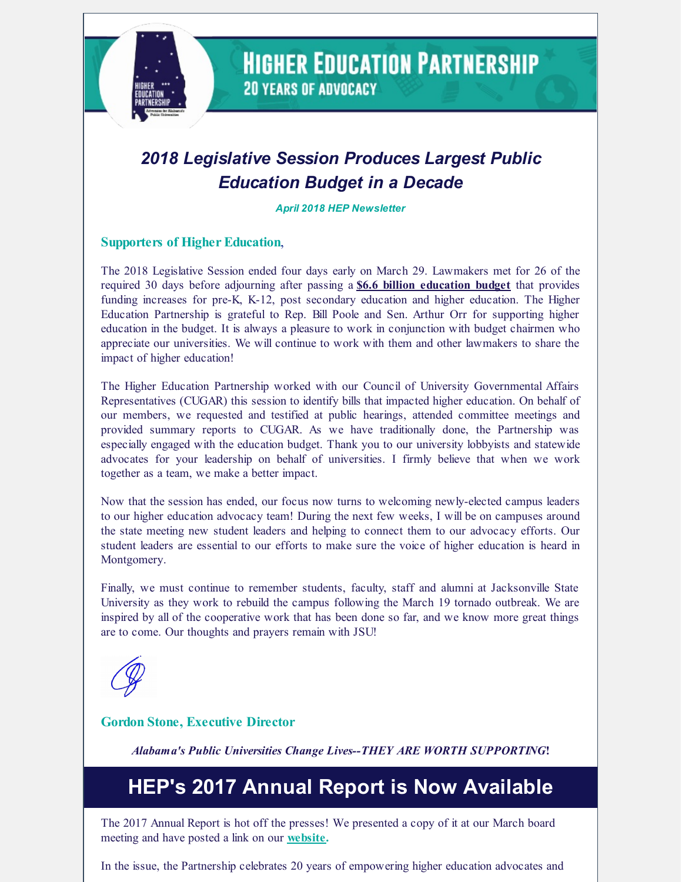

**HIGHER EDUCATION PARTNERSHIP 20 YEARS OF ADVOCACY** 

## *2018 Legislative Session Produces Largest Public Education Budget in a Decade*

*April 2018 HEP Newsletter*

### **Supporters of Higher Education**,

The 2018 Legislative Session ended four days early on March 29. Lawmakers met for 26 of the required 30 days before adjourning after passing a **\$6.6 billion [education](http://lsa.alabama.gov/PDF/LFO/FY2019/ETF/ETF-FY-2019-enacted.pdf) budget** that provides funding increases for pre-K, K-12, post secondary education and higher education. The Higher Education Partnership is grateful to Rep. Bill Poole and Sen. Arthur Orr for supporting higher education in the budget. It is always a pleasure to work in conjunction with budget chairmen who appreciate our universities. We will continue to work with them and other lawmakers to share the impact of higher education!

The Higher Education Partnership worked with our Council of University Governmental Affairs Representatives (CUGAR) this session to identify bills that impacted higher education. On behalf of our members, we requested and testified at public hearings, attended committee meetings and provided summary reports to CUGAR. As we have traditionally done, the Partnership was especially engaged with the education budget. Thank you to our university lobbyists and statewide advocates for your leadership on behalf of universities. I firmly believe that when we work together as a team, we make a better impact.

Now that the session has ended, our focus now turns to welcoming newly-elected campus leaders to our higher education advocacy team! During the next few weeks, I will be on campuses around the state meeting new student leaders and helping to connect them to our advocacy efforts. Our student leaders are essential to our efforts to make sure the voice of higher education is heard in Montgomery.

Finally, we must continue to remember students, faculty, staff and alumni at Jacksonville State University as they work to rebuild the campus following the March 19 tornado outbreak. We are inspired by all of the cooperative work that has been done so far, and we know more great things are to come. Our thoughts and prayers remain with JSU!

### **Gordon Stone, Executive Director**

*Alabama's Public Universities Change Lives--THEY ARE WORTH SUPPORTING***!**

# **HEP's 2017 Annual Report is Now Available**

The 2017 Annual Report is hot off the presses! We presented a copy of it at our March board meeting and have posted a link on our **[website](http://www.higheredpartners.org/).**

In the issue, the Partnership celebrates 20 years of empowering higher education advocates and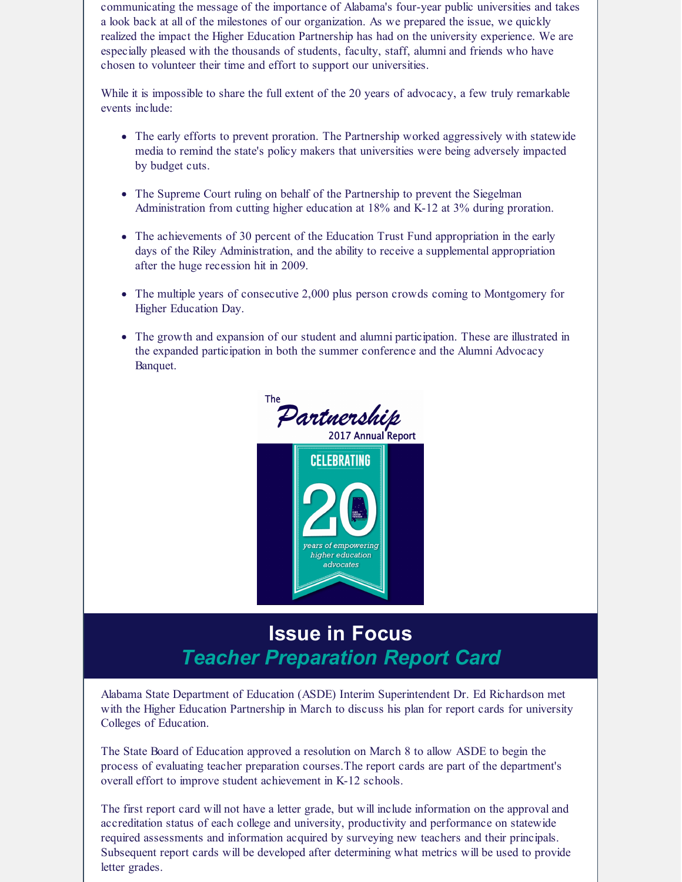communicating the message of the importance of Alabama's four-year public universities and takes a look back at all of the milestones of our organization. As we prepared the issue, we quickly realized the impact the Higher Education Partnership has had on the university experience. We are especially pleased with the thousands of students, faculty, staff, alumni and friends who have chosen to volunteer their time and effort to support our universities.

While it is impossible to share the full extent of the 20 years of advocacy, a few truly remarkable events include:

- The early efforts to prevent proration. The Partnership worked aggressively with statewide media to remind the state's policy makers that universities were being adversely impacted by budget cuts.
- The Supreme Court ruling on behalf of the Partnership to prevent the Siegelman Administration from cutting higher education at 18% and K-12 at 3% during proration.
- The achievements of 30 percent of the Education Trust Fund appropriation in the early days of the Riley Administration, and the ability to receive a supplemental appropriation after the huge recession hit in 2009.
- The multiple years of consecutive 2,000 plus person crowds coming to Montgomery for Higher Education Day.
- The growth and expansion of our student and alumni participation. These are illustrated in the expanded participation in both the summer conference and the Alumni Advocacy Banquet.





of empowerin igher education advocates

Alabama State Department of Education (ASDE) Interim Superintendent Dr. Ed Richardson met with the Higher Education Partnership in March to discuss his plan for report cards for university Colleges of Education.

The State Board of Education approved a resolution on March 8 to allow ASDE to begin the process of evaluating teacher preparation courses.The report cards are part of the department's overall effort to improve student achievement in K-12 schools.

The first report card will not have a letter grade, but will include information on the approval and accreditation status of each college and university, productivity and performance on statewide required assessments and information acquired by surveying new teachers and their principals. Subsequent report cards will be developed after determining what metrics will be used to provide letter grades.